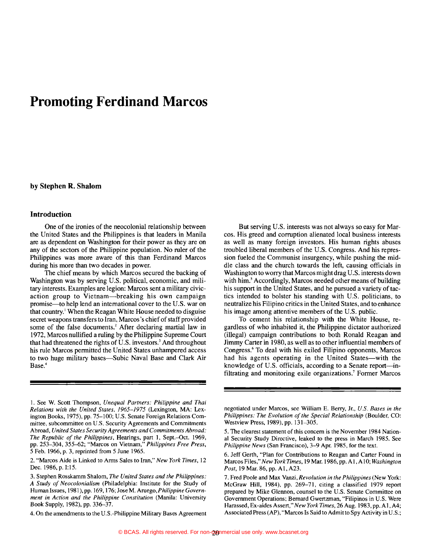# **Promoting Ferdinand Marcos**

#### **by Stephen R. Shalom**

#### **Introduction**

One of the ironies of the neocolonial relationship between the United States and the Philippines is that leaders in Manila are as dependent on Washington for their power as they are on any of the sectors of the Philippine population. No ruler of the Philippines was more aware of this than Ferdinand Marcos during his more than two decades in power.

The chief means by which Marcos secured the backing of Washington was by serving U.S. political, economic, and military interests. Examples are legion: Marcos sent a military civicaction group to Vietnam-breaking his own campaign promise-to help lend an international cover to the U.S. war on that country.<sup>1</sup> When the Reagan White House needed to disguise secret weapons transfers to Iran, Marcos's chief of staff provided some of the false documents.<sup>2</sup> After declaring martial law in 1972, Marcos nullified a ruling by the Philippine Supreme Court that had threatened the rights of U.S. investors.<sup>3</sup> And throughout his rule Marcos permitted the United States unhampered access to two huge military bases-Subic Naval Base and Clark Air Base.<sup>4</sup>

1. See W. Scott Thompson, *Unequal Partners: Philippine and Thai Relations with the United States.* 1965-1975 (Lexington, MA: Lexington Books, 1975), pp. 75-100; U.S. Senate Foreign Relations Committee. subcommittee on U.S. Security Agreements and Commitments Abroad, *United States Security Agreements and Commitments Abroad: The Republic of the Philippines,* Hearings, part I, Sept.-Oct. 1969, pp. 253-304, 355-62; "Marcos on Vietnam," *Philippines Free Press,*  5 Feb. 1966, p. 3, reprinted from 5 June 1965.

2. "Marcos Aide is Linked to Arms Sales to Iran," *New York Times, 12*  Dec. 1986, p. 1:15.

4. On the amendments to the U.S.-Philippine Military Bases Agreement

But serving U.S. interests was not always so easy for Marcos. His greed and corruption alienated local business interests as well as many foreign investors. His human rights abuses troubled liberal members of the U.S. Congress. And his repression fueled the Communist insurgency, while pushing the middle class and the church towards the left, causing officials in Washington to worry that Marcos might drag U.S. interests down with him.<sup>5</sup> Accordingly, Marcos needed other means of building his support in the United States, and he pursued a variety of tactics intended to bolster his standing with U.S. politicians, to neutralize his Filipino critics in the United States, and to enhance his image among attentive members of the U.S. public.

To cement his relationship with the White House, regardless of who inhabited it, the Philippine dictator authorized (illegal) campaign contributions to both Ronald Reagan and Jimmy Carter in 1980, as well as to other influential members of Congress.6 To deal with his exiled Filipino opponents, Marcos had his agents operating in the United States-with the knowledge of U.S. officials, according to a Senate report-infiltrating and monitoring exile organizations.' Former Marcos

negotiated under Marcos. see William E. Berry, Jr., *U.S. Bases in the Philippines: The Evolution of the Special Relationship* (Boulder, CO: Westview Press, 1989), pp. 131-305.

6. Jeff Gerth, "Plan for Contributions to Reagan and Carter Found in Marcos Files," *New York Times,* 19 Mar. 1986, pp. AI,AI0; *Washington Post, 19 Mar. 86, pp. A1, A23.* 

7. Fred Poole and Max Vanzi, *Revolution in the Philippines* (New York: McGraw Hill, 1984), pp. 269-71, citing a classified 1979 report prepared by Mike Glennon, counsel to the U.S. Senate Committee on Government Operations; Bernard Gwertzman, "Filipinos in U.S. Were Harassed, Ex-aides Assert," *New York Times,* 26 Aug. 1983,pp.AI,A4; Associated Press (AP), "Marcos Is Said to Admit to Spy Activity in U.S.;

<sup>3.</sup> Stephen Rosskamm Shalom, *The United States and the Philippines: A Study of Neocolonialism* (Philadelphia: Institute for the Study of Human Issues, 1981), pp. 169, 176; Jose M. Aruego, *Philippine Government in Action and the Philippine Constitution* (Manila: University Book Supply, 1982), pp. 336-37.

<sup>5.</sup> The clearest statement of this concern is the November 1984 National Security Study Directive, leaked to the press in March 1985. See *Philippine News* (San Francisco), 3-9 Apr. 1985, for the text.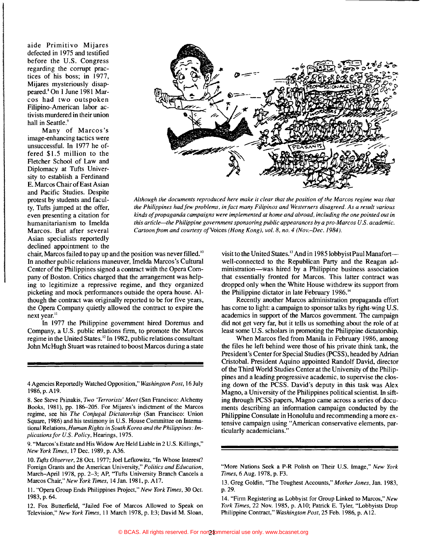aide Primitivo Mijares defected in 1975 and testified before the U.S. Congress regarding the corrupt practices of his boss; in 1977, Mijares mysteriously disappeared.' On 1 June 1981 Marcos had two outspoken Filipino-American labor activists murdered in their union hall in Seattle.<sup>9</sup>

Many of Marcos's image-enhancing tactics were unsuccessful. In 1977 he offered \$1.5 million to the Fletcher School of Law and Diplomacy at Tufts University to establish a Ferdinand E. Marcos Chair of East Asian and Pacific Studies. Despite protest by students and faculty, Tufts jumped at the offer, even presenting a citation for humanitarianism to Imelda Marcos. But after several Asian specialists reportedly declined appointment to the



*Although the documents reproduced here make it clear that the position 0/the Marcos regime was that*  the Philippines had few problems, in fact many Filipinos and Westerners disagreed. As a result various kinds of propaganda campaigns were implemented at home and abroad, including the one pointed out in *this article-the Philippine government sponsoring public appearances by a pro-Marcos U.S. academic. Cartoon from and courtesy of Voices (Hong Kong), vol. 8, no. 4 (Nov.-Dec. 1984).* 

chair, Marcos failed to pay up and the position was never filled.<sup>10</sup> In another public relations maneuver, Imelda Marcos's Cultural Center of the Philippines signed a contract with the Opera Company of Boston. Critics charged that the arrangement was helping to legitimize a repressive regime, and they organized picketing and mock performances outside the opera house. Although the contract was originally reported to be for five years, the Opera Company quietly allowed the contract to expire the next year.<sup>11</sup>

In 1977 the Philippine government hired Doremus and Company, a U.S. public relations finn, to promote the Marcos regime in the United States. 12 In 1982, public relations consultant John McHugh Stuart was retained to boost Marcos during a state

4 Agencies Reportedly Watched Opposition," *Washington Post,* 16 July 1986,p.AI9.

8. See Steve Psinakis, *Two 'Terrorists' Meet* (San Francisco: Alchemy Books, 1981), pp. 186-205. For Mijares's indictment of the Marcos regime, see his *The Conjugal Dictatorship* (San Francisco: Union Square, 1986) and his testimony in U.S. House Committee on International *Relations,Human Rights in South Korea and the Philippines: Implications/or U.S. Policy,* Hearings, 1975.

9. "Marcos's Estate and His Widow Are Held Liable in 2 U.S. Killings," *New York Times,* 17 Dec. 1989, p. A36.

*10. Tufts Observer,* 28 Oct. 1977; Joel Lefkowitz, "In Whose Interest? Foreign Grants and the American University," *Politics and Education,*  March-April 1978, pp. 2-3; AP, ''Tufts University Branch Cancels a Marcos Chair," *New York Times,* 14 Jan. 1981. p. A17.

11. "Opera Group Ends Philippines Project," *New York Times,* 30 Oct. 1983, p. 64.

12. Fox Butterfield, "Jailed Foe of Marcos Allowed to Speak on Television," *New York Times,* II March 1978, p. 1:3; David M. Sloan, visit to the United States. 13 And in 1985 lobbyist Paul Manafortwell-connected to the Republican Party and the Reagan administration-was hired by a Philippine business association that essentially fronted for Marcos. This latter contract was dropped only when the White House withdrew its support from the Philippine dictator in late February 1986.<sup>14</sup>

Recently another Marcos administration propaganda effort has come to light: a campaign to sponsor talks by right-wing U.S. academics in support of the Marcos government. The campaign did not get very far, but it tells us something about the role of at least some U.S. scholars in promoting the Philippine dictatorship.

When Marcos fled from Manila in February 1986, among the files he left behind were those of his private think tank, the President's Center for Special Studies (PCSS), headed by Adrian Cristobal. President Aquino appointed Randolf David, director of the Third World Studies Center at the University of the Philippines and a leading progressive academic, to supervise the closing down of the PCSS. David's deputy in this task was Alex Magno, a University of the Philippines political scientist. In sifting through PCSS papers, Magno came across a series of documents describing an information campaign conducted by the Philippine Consulate in Honolulu and recommending a more extensive campaign using "American conservative elements, particularly academicians."

<sup>&</sup>quot;More Nations Seek a P-R Polish on Their U.S. Image," *New York Times,* 6 Aug. 1978, p. F3.

<sup>13.</sup> Greg Goldin, "The Toughest Accounts," *Mother Jones,* Jan. 1983, p.29.

<sup>14. &</sup>quot;Firm Registering as Lobbyist for Group Linked to Marcos," *New York Times,* 22 Nov. 1985, p. A10; Patrick E. Tyler, "Lobbyists Drop Philippine Contract," *Washington Post,* 25 Feb. 1986, p. A12.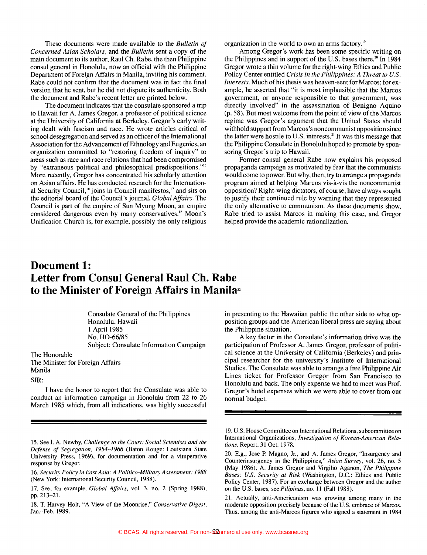These documents were made available to the *Bulletin of Concerned Asian Scholars,* and the *Bulletin* sent a copy of the main document to its author, Raul Ch. Rabe, the then Philippine consul general in Honolulu, now an official with the Philippine Department of Foreign Affairs in Manila, inviting his comment. Rabe could not confirm that the document was in fact the final version that he sent, but he did not dispute its authenticity. Both the document and Rabe's recent letter are printed below.

The document indicates that the consulate sponsored a trip to Hawaii for A. James Gregor, a professor of political science at the University of California at Berkeley. Gregor's early writing dealt with fascism and race. He wrote articles critical of school desegregation and served as an officer of the International Association for the Advancement of Ethnology and Eugenics, an organization committed to "restoring freedom of inquiry" to areas such as race and race relations that had been compromised by "extraneous political and philosophical predispositions."<sup>15</sup> More recently, Gregor has concentrated his scholarly attention on Asian affairs. He has conducted research for the International Security Council,<sup>16</sup> joins in Council manifestos, $\frac{17}{17}$  and sits on the editorial board of the Council's journal, *Global Affairs.* The Council is part of the empire of Sun Myung Moon, an empire considered dangerous even by many conservatives.<sup>18</sup> Moon's Unification Church is, for example, possibly the only religious organization in the world to own an arms factory.<sup>19</sup>

Among Gregor's work has been some specific writing on the Philippines and in support of the U.S. bases there.<sup>20</sup> In 1984 Gregor wrote a thin volume for the right-wing Ethics and Public Policy Center entitled *Crisis in the Philippines: A Threat to U.S. Interests.* Much of his thesis was heaven-sent for Marcos; for example, he asserted that "it is most implausible that the Marcos government, or anyone responsible to that government, was directly involved" in the assassination of Benigno Aquino  $(p. 58)$ . But most welcome from the point of view of the Marcos regime was Gregor's argument that the United States should withhold support from Marcos's noncommunist opposition since the latter were hostile to U.S. interests.<sup>21</sup> It was this message that the Philippine Consulate in Honolulu hoped to promote by sponsoring Gregor's trip to Hawaii.

Former consul general Rabe now explains his proposed propaganda campaign as motivated by fear that the communists would come to power. But why, then, try to arrange a propaganda program aimed at helping Marcos vis-a-vis the noncommunist opposition? Right-wing dictators, of course, have always sought to justify their continued rule by warning that they represented the only alternative to communism. As these documents show, Rabe tried to assist Marcos in making this case, and Gregor helped provide the academic rationalization.

### **Document 1: Letter from Consul General Raul Ch. Rabe**  to the Minister of Foreign Affairs in Manila<sup>22</sup>

Consulate General of the Philippines Honolulu, Hawaii I April 1985 No. HO-66/85 Subject: Consulate Information Campaign

The Honorable

The Minister for Foreign Affairs Manila

SIR:

I have the honor to report that the Consulate was able to conduct an information campaign in Honolulu from 22 to 26 March 1985 which, from all indications, was highly successful in presenting to the Hawaiian public the other side to what opposition groups and the American liberal press are saying about the Philippine situation.

A key factor in the Consulate's information drive was the participation of Professor A. James Gregor, professor of political science at the University of California (Berkeley) and principal researcher for the university's Institute of International Studies. The Consulate was able to arrange a free Philippine Air Lines ticket for Professor Gregor from San Francisco to Honolulu and back. The only expense we had to meet was Prof. Gregor's hotel expenses which we were able to cover from our normal budget.

<sup>15.</sup> See I. A. Newby, *Challenge to the Court: Social Scientists and the Defense of Segregation.* 1954-1966 (Baton Rouge: Louisiana State University Press, 1969), for documentation and for a vituperative response by Gregor.

*<sup>16.</sup> Security Policy in East Asia: A Politico-Military Assessment: 1988*  (New York: International Security Council, 1988).

<sup>17.</sup> See, for example, *Glohal Affairs,* vol. 3, no. 2 (Spring 1988), pp.213-21.

<sup>18.</sup> T. Harvey Holt, "A View of the Moonrise," *Conservative Digest,*  Jan.-Feb. 1989.

<sup>19.</sup> U.S. House Committee on International Relations, subcommittee on International Organizations, *Investigation of Korean-American Relations,* Report, 31 Oct. 1978.

<sup>20.</sup> E.g., Jose P. Magno, Jr., and A. James Gregor. "Insurgency and Counterinsurgency in the Philippines." *Asian Survey,* vol. 26, no. 5 (May 1986); A. James Gregor and Virgilio Aganon, *The Philippine Bases: U.S. Security at Risk* (Washington, D.C.: Ethics and Public Policy Center, 1987). For an exchange between Gregor and the author on the U.S. bases, see *Pilipinas,* no. 11 (Fall 1988).

<sup>21.</sup> Actually, anti-Americanism was growing among many in the moderate opposition precisely because of the U.S. embrace of Marcos. Thus, among the anti-Marcos figures who signed a statement in 1984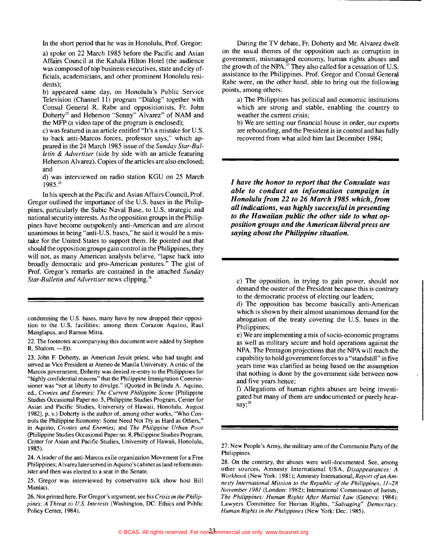In the short period that he was in Honolulu, Prof. Gregor:

a) spoke on 22 March 1985 before the Pacific and Asian Affairs Council at the Kahala Hilton Hotel (the audience was composed of top business executives, state and city officials, academicians, and other prominent Honolulu residents);

b) appeared same day, on Honolulu's Public Service Television (Channel 11) program "Dialog" together with Consul General R. Rabe and oppositionists, Fr. John Doherty<sup>23</sup> and Heherson "Sonny" Alvarez<sup>24</sup> of NAM and the MFP (a video tape of the program is enclosed);

c) was featured in an article entitled "It's a mistake for U.S. to back anti-Marcos forces, professor says," which appeared in the 24 March 1985 issue of the *Sunday Star-Bulletin* & *Advertiser* (side by side with an article featuring Heherson Alvarez). Copies of the articles are also enclosed; and

d) was interviewed on radio station KGU on 25 March 1985.25

In his speech at the Pacific and Asian Affairs Council, Prof. Gregor outlined the importance of the U.S. bases in the Philippines, particularly the Subic Naval Base, to U.S. strategic and national security interests. As the opposition groups in the Philippines have become outspokenly anti-American and are almost unanimous in being "anti-U.S. bases," he said it would be a mistake for the United States to support them. He pointed out that should the opposition groups gain control in the Philippines, they will not, as many American analysts believe, "lapse back into broadly democratic and pro-American postures." The gist of Prof. Gregor's remarks are contained in the attached *Sunday Star-Bulletin and Advertiser* news clipping.<sup>26</sup>

condemning the U.S. bases, many have by now dropped their opposition to the U.S. facilities: among them Corazon Aquino, Raul Manglapus, and Ramon Mitra.

22. The footnotes accompanying this document were added by Stephen R. Shalom. -- ED.

23. John F. Doherty, an American Jesuit priest, who had taught and served as Vice President at Ateneo de Manila University. A critic of the Marcos government, Doherty was denied re-entry to the Philippines for "highly confidential reasons" that the Philippine Immigration Commissioner was "not at liberty to divulge." (Quoted in Belinda A. Aquino, ed., *Cronies and Enemies: The Current Philippine Scene* [Philippine Studies Occasional Paper no. 5, Philippine Studies Program, Center for Asian and Pacific Studies, University of Hawaii, Honolulu, August 1982], p. v.) Doherty is the author of, among other works, "Who Controls the Philippine Economy: Some Need Not Try as Hard as Others," in Aquino, *Cronies and Enemies;* and *The Philippine Urban Poor*  (philippine Studies Occasional Paper no. 8, Philippine Studies Program, Center for Asian and Pacific Studies, University of Hawaii, Honolulu, 1985).

24. A leader of the anti-Marcos exile organization Movement for a Free Philippines; Alvarez later served in Aquino's cabinet as land reform minister and then was elected to a seat in the Senate.

25. Gregor was interviewed by conservative talk show host Bill Maniaci.

26. Not printed here. For Gregor's argument, see his *Crisis in the Philippines:* A *Threat to U.S. Interests* (Washington, DC: Ethics and Public Policy Center, 1984).

During the TV debate, Fr. Doherty and Mr. Alvarez dwelt on the usual themes of the opposition such as corruption in government, mismanaged economy, human rights abuses and the growth of the NPA.<sup>27</sup> They also called for a cessation of U.S. assistance to the Philippines. Prof. Gregor and Consul General Rabe were, on the other hand, able to bring out the following points, among others:

a) The Philippines has political and economic institutions which are strong and stable, enabling the country to weather the current crisis;

b) We are setting our financial house in order, our exports are rebounding, and the President is in control and has fully recovered from what ailed him last December 1984;

*I have the honor to report that the Consulate was able to conduct an information campaign in Honolulu from* 22 *to* 26 *March* 1985 *which,from all indications, was highly successful in presenting to the Hawaiian public the other side to what opposition groups and the American liberal press are saying about the Philippine situation.* 

c) The opposition, in trying to gain power, should not demand the ouster of the President because this is contrary to the democratic process of electing our leaders;

d) The opposition has become basically anti-American which is shown by their almost unanimous demand for the abrogation of the treaty covering the U.S. bases in the Philippines;

e) We are implementing a mix ofsocio-economic programs as well as military secure and hold operations against the NPA. The Pentagon projections that the NPA will reach the capability to hold government forces to a "standstill" in five years time was clarified as being based on the assumption that nothing is done by the government side between now and five years hence;

f) Allegations of human rights abuses are being investigated but many of them are undocumented or purely hearsay; $^{28}$ 

27. New People's Army, the military arm of the Communist Party of the Philippines.

28. On the contrary, the abuses were well-documented. See, among other sources, Amnesty International USA, *Disappearances:* A *Workbook* (New York: 1981); Amnesty International, *Report ofan Amnesty International Mission to the Republic of the Philippines. 11-28 November* 1981 (London: 1982); International Commission of Jurists, *The Philippines: Human Rights After Martial Law* (Geneva: 1984); Lawyers Committee for Human Rights, *"Salvaging" Democracy: Human Rights in the Philippines* (New York: Dec. 1985).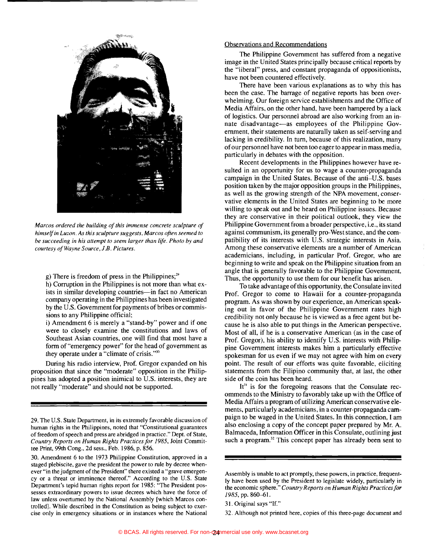

*Marcos ordered the building of this immense concrete sculpture of himselfin Luzon. As this sculpture suggests, Marcos often seemed to be succeeding in his attempt to seem larger than life. Photo by and courtesy ofWayne Source, 1.B. Pictures.* 

g) There is freedom of press in the Philippines; $^{29}$ 

h) Corruption in the Philippines is not more than what exists in similar developing countries-in fact no American company operating in the Philippines has been investigated by the U.S. Government for payments of bribes or commissions to any Philippine official;

i) Amendment 6 is merely a "stand-by" power and if one were to closely examine the constitutions and laws of Southeast Asian countries, one will find that most have a form of "emergency power" for the head of government as they operate under a "climate of crisis."30

During his radio interview, Prof. Gregor expanded on his proposition that since the "moderate" opposition in the Philippines has adopted a position inimical to U.S. interests, they are not really "moderate" and should not be supported.

### Observations and Recommendations

The Philippine Government has suffered from a negative image in the United States principally because critical reports by the "liberal" press, and constant propaganda of oppositionists, have not been countered effectively.

There have been various explanations as to why this has been the case. The barrage of negative reports has been overwhelming. Our foreign service establishments and the Office of Media Affairs, on the other hand, have been hampered by a lack of logistics. Our personnel abroad are also working from an innate disadvantage-as employees of the Philippine Government, their statements are naturally taken as self-serving and lacking in credibility. In tum, because of this realization, many ofour personnel have not been too eager to appear in mass media, particularly in debates with the opposition.

Recent developments in the Philippines however have resulted in an opportunity for us to wage a counter-propaganda campaign in the United States. Because of the anti-U.S. bases position taken by the major opposition groups in the Philippines, as well as the growing strength of the NPA movement, conservative elements in the United States are beginning to be more willing to speak out and be heard on Philippine issues. Because they are conservative in their political outlook, they view the Philippine Government from a broader perspective, i.e., its stand against communism, its generally pro-West stance, and the compatibility of its interests with U.S. strategic interests in Asia. Among these conservative elements are a number of American academicians, including, in particular Prof. Gregor, who are beginning to write and speak on the Philippine situation from an angle that is generally favorable to the Philippine Government. Thus, the opportunity to use them for our benefit has arisen.

To take advantage of this opportunity, the Consulate invited Prof. Gregor to come to Hawaii for a counter-propaganda program. As was shown by our experience, an American speaking out in favor of the Philippine Government rates high credibility not only because he is viewed as a free agent but because he is also able to put things in the American perspective. Most of all, if he is a conservative American (as in the case of Prof. Gregor), his ability to identify U.S. interests with Philippine Government interests makes him a particularly effective spokesman for us even if we may not agree with him on every point. The result of our efforts was quite favorable, eliciting statements from the Filipino community that, at last, the other side of the coin has been heard.

It<sup>31</sup> is for the foregoing reasons that the Consulate recommends to the Ministry to favorably take up with the Office of Media Affairs a program of utilizing American conservative elements, particularly academicians, in a counter-propaganda campaign to be waged in the United States. In this connection, I am also enclosing a copy of the concept paper prepared by Mr. A. Balmaceda, Information Officer in this Consulate, outlining just such a program.<sup>32</sup> This concept paper has already been sent to

32. Although not printed here, copies of this three-page document and

<sup>29.</sup> The U.S. State Department, in its extremely favorable discussion of human rights in the Philippines, noted that "Constitutional guarantees of freedom of speech and press are abridged in practice." Dept. of State, *Country Reports on Human Rights Practices for* 1985, Joint Committee Print, 99th Cong., 2d sess., Feb. 1986, p. 856.

<sup>30.</sup> Amendment 6 to the 1973 Philippine Constitution, approved in a staged plebiscite, gave the president the power to rule by decree whenever "in the judgment of the President" there existed a "grave emergency or a threat or imminence thereof." According to the U.S. State Department's tepid human rights report for 1985: "The President possesses extraordinary powers to issue decrees which have the force of law unless overturned by the National Assembly [which Marcos controlled]. While described in the Constitution as being subject to exercise only in emergency situations or in instances where the National

Assembly is unable to act promptly, these powers, in practice, frequently have been used by the President to legislate widely, particularly in the economic sphere." *Country Reports on Human Rights Practices for*  1985, pp. 860-61.

<sup>31.</sup> Original says "If."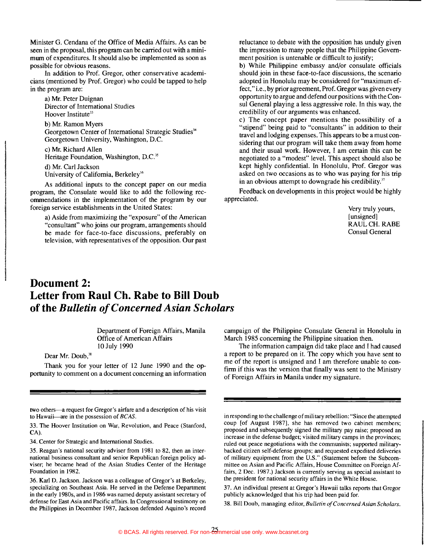Minister G. Cendana of the Office of Media Affairs. As can be seen in the proposal, this program can be carried out with a minimum of expenditures. It should also be implemented as soon as possible for obvious reasons.

In addition to Prof. Gregor, other conservative academicians (mentioned by Prof. Gregor) who could be tapped to help in the program are:

a) Mr. Peter Duignan Director of International Studies Hoover Institute<sup>33</sup>

b) Mr. Ramon Myers Georgetown Center of International Strategic Studies<sup>34</sup> Georgetown University, Washington, D.C.

c) Mr. Richard Allen Heritage Foundation, Washington, D.C.<sup>35</sup>

d) Mr. Carl Jackson University of California, Berkeley'6

As additional inputs to the concept paper on our media program, the Consulate would like to add the following recommendations in the implementation of the program by our foreign service establishments in the United States:

a) Aside from maximizing the "exposure" of the American "consultant" who joins our program, arrangements should be made for face-to-face discussions, preferably on television, with representatives of the opposition. Our past reluctance to debate with the opposition has unduly given the impression to many people that the Philippine Government position is untenable or difficult to justify;

b) While Philippine embassy and/or consulate officials should join in these face-to-face discussions, the scenario adopted in Honolulu may be considered for "maximum effect," i.e., by prior agreement, Prof. Gregor was given every opportunity to argue and defend our positions with the Consul General playing a less aggressive role. In this way, the credibility of our arguments was enhanced.

c) The concept paper mentions the possibility of a "stipend" being paid to "consultants" in addition to their travel and lodging expenses. This appears to be a must considering that our program will take them away from home and their usual work. However, I am certain this can be negotiated to a "modest" level. This aspect should also be kept highly confidential. In Honolulu, Prof. Gregor was asked on two occasions as to who was paying for his trip in an obvious attempt to downgrade his credibility. $37$ 

Feedback on developments in this project would be highly appreciated.

> Very truly yours, [unsigned] RAUL CH. RABE Consul General

## **Document 2: Letter from Raul Ch. Rabe to Bill Doub of the** *Bulletin ofConcerned Asian Scholars*

Department of Foreign Affairs, Manila Office of American Affairs 10 July 1990

Dear Mr. Doub,<sup>38</sup>

Thank you for your letter of 12 June 1990 and the opportunity to comment on a document concerning an information

two others-a request for Gregor's airfare and a description of his visit to Hawaii-are in the possession of *BCAS*.

33. The Hoover Institution on War, Revolution, and Peace (Stanford, CA).

34. Center for Strategic and International Studies.

35. Reagan's national security adviser from 1981 to 82, then an international business consultant and senior Republican foreign policy adviser; he became head of the Asian Studies Center of the Heritage Foundation in 1982.

36. Karl D. Jackson. Jackson was a colleague of Gregor's at Berkeley, specializing on Southeast Asia. He served in the Defense Department in the early 1980s, and in 1986 was named deputy assistant secretary of defense for East Asia and Pacific affairs. In Congressional testimony on the Philippines in December 1987, Jackson defended Aquino's record campaign of the Philippine Consulate General in Honolulu in March 1985 concerning the Philippine situation then.

The information campaign did take place and I had caused a report to be prepared on it. The copy which you have sent to me of the report is unsigned and I am therefore unable to confirm if this was the version that finally was sent to the Ministry of Foreign Affairs in Manila under my signature.

in responding to the challenge of military rebellion: "Since the attempted coup [of August 1987], she has removed two cabinet members; proposed and subsequently signed the military pay raise; proposed an increase in the defense budget; visited military camps in the provinces; ruled out peace negotiations with the communists; supported militarybacked citizen self-defense groups; and requested expedited deliveries of military equipment from the U.S." (Statement before the Subcommittee on Asian and Pacific Affairs, House Committee on Foreign Affairs, 2 Dec. 1987.) Jackson is currently serving as special assistant to the president for national security affairs in the White House.

37. An individual present at Gregor's Hawaii talks reports that Gregor publicly acknowledged that his trip had been paid for.

38. Bill Doub, managing editor, *Bulletin o/Concerned Asian Scholars.*